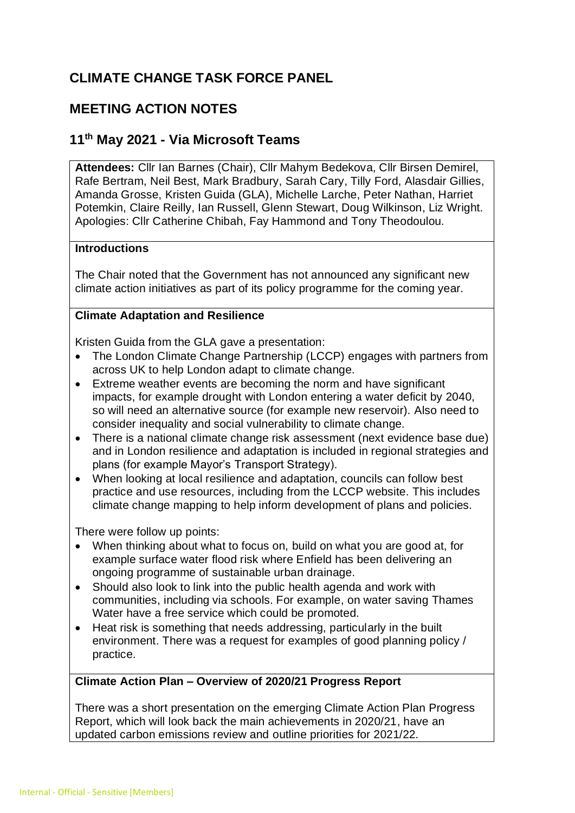# **CLIMATE CHANGE TASK FORCE PANEL**

## **MEETING ACTION NOTES**

## **11 th May 2021 - Via Microsoft Teams**

**Attendees:** Cllr Ian Barnes (Chair), Cllr Mahym Bedekova, Cllr Birsen Demirel, Rafe Bertram, Neil Best, Mark Bradbury, Sarah Cary, Tilly Ford, Alasdair Gillies, Amanda Grosse, Kristen Guida (GLA), Michelle Larche, Peter Nathan, Harriet Potemkin, Claire Reilly, Ian Russell, Glenn Stewart, Doug Wilkinson, Liz Wright. Apologies: Cllr Catherine Chibah, Fay Hammond and Tony Theodoulou.

## **Introductions**

The Chair noted that the Government has not announced any significant new climate action initiatives as part of its policy programme for the coming year.

## **Climate Adaptation and Resilience**

Kristen Guida from the GLA gave a presentation:

- The London Climate Change Partnership (LCCP) engages with partners from across UK to help London adapt to climate change.
- Extreme weather events are becoming the norm and have significant impacts, for example drought with London entering a water deficit by 2040, so will need an alternative source (for example new reservoir). Also need to consider inequality and social vulnerability to climate change.
- There is a national climate change risk assessment (next evidence base due) and in London resilience and adaptation is included in regional strategies and plans (for example Mayor's Transport Strategy).
- When looking at local resilience and adaptation, councils can follow best practice and use resources, including from the LCCP website. This includes climate change mapping to help inform development of plans and policies.

There were follow up points:

- When thinking about what to focus on, build on what you are good at, for example surface water flood risk where Enfield has been delivering an ongoing programme of sustainable urban drainage.
- Should also look to link into the public health agenda and work with communities, including via schools. For example, on water saving Thames Water have a free service which could be promoted.
- Heat risk is something that needs addressing, particularly in the built environment. There was a request for examples of good planning policy / practice.

## **Climate Action Plan – Overview of 2020/21 Progress Report**

There was a short presentation on the emerging Climate Action Plan Progress Report, which will look back the main achievements in 2020/21, have an updated carbon emissions review and outline priorities for 2021/22.